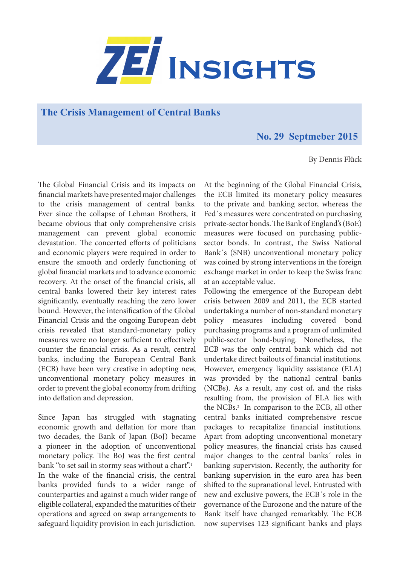

## **The Crisis Management of Central Banks**

## **No. 29 Septmeber 2015**

By Dennis Flück

The Global Financial Crisis and its impacts on financial markets have presented major challenges to the crisis management of central banks. Ever since the collapse of Lehman Brothers, it became obvious that only comprehensive crisis management can prevent global economic devastation. The concerted efforts of politicians and economic players were required in order to ensure the smooth and orderly functioning of global financial markets and to advance economic recovery. At the onset of the financial crisis, all central banks lowered their key interest rates significantly, eventually reaching the zero lower bound. However, the intensification of the Global Financial Crisis and the ongoing European debt crisis revealed that standard-monetary policy measures were no longer sufficient to effectively counter the financial crisis. As a result, central banks, including the European Central Bank (ECB) have been very creative in adopting new, unconventional monetary policy measures in order to prevent the global economy from drifting into deflation and depression.

Since Japan has struggled with stagnating economic growth and deflation for more than two decades, the Bank of Japan (BoJ) became a pioneer in the adoption of unconventional monetary policy. The BoJ was the first central bank "to set sail in stormy seas without a chart".<sup>1</sup> In the wake of the financial crisis, the central banks provided funds to a wider range of counterparties and against a much wider range of eligible collateral, expanded the maturities of their operations and agreed on swap arrangements to safeguard liquidity provision in each jurisdiction.

At the beginning of the Global Financial Crisis, the ECB limited its monetary policy measures to the private and banking sector, whereas the Fed´s measures were concentrated on purchasing private-sector bonds. The Bank of England's (BoE) measures were focused on purchasing publicsector bonds. In contrast, the Swiss National Bank´s (SNB) unconventional monetary policy was coined by strong interventions in the foreign exchange market in order to keep the Swiss franc at an acceptable value.

Following the emergence of the European debt crisis between 2009 and 2011, the ECB started undertaking a number of non-standard monetary policy measures including covered bond purchasing programs and a program of unlimited public-sector bond-buying. Nonetheless, the ECB was the only central bank which did not undertake direct bailouts of financial institutions. However, emergency liquidity assistance (ELA) was provided by the national central banks (NCBs). As a result, any cost of, and the risks resulting from, the provision of ELA lies with the NCBs.<sup>2</sup> In comparison to the ECB, all other central banks initiated comprehensive rescue packages to recapitalize financial institutions. Apart from adopting unconventional monetary policy measures, the financial crisis has caused major changes to the central banks´ roles in banking supervision. Recently, the authority for banking supervision in the euro area has been shifted to the supranational level. Entrusted with new and exclusive powers, the ECB´s role in the governance of the Eurozone and the nature of the Bank itself have changed remarkably. The ECB now supervises 123 significant banks and plays